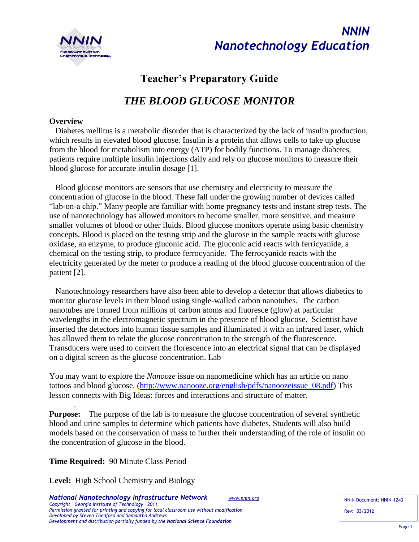

*NNIN Nanotechnology Education*

# **Teacher's Preparatory Guide**

# *THE BLOOD GLUCOSE MONITOR*

#### **Overview**

 Diabetes mellitus is a metabolic disorder that is characterized by the lack of insulin production, which results in elevated blood glucose. Insulin is a protein that allows cells to take up glucose from the blood for metabolism into energy (ATP) for bodily functions. To manage diabetes, patients require multiple insulin injections daily and rely on glucose monitors to measure their blood glucose for accurate insulin dosage [1].

 Blood glucose monitors are sensors that use chemistry and electricity to measure the concentration of glucose in the blood. These fall under the growing number of devices called "lab-on-a chip." Many people are familiar with home pregnancy tests and instant strep tests. The use of nanotechnology has allowed monitors to become smaller, more sensitive, and measure smaller volumes of blood or other fluids. Blood glucose monitors operate using basic chemistry concepts. Blood is placed on the testing strip and the glucose in the sample reacts with glucose oxidase, an enzyme, to produce gluconic acid. The gluconic acid reacts with ferricyanide, a chemical on the testing strip, to produce ferrocyanide. The ferrocyanide reacts with the electricity generated by the meter to produce a reading of the blood glucose concentration of the patient [2].

 Nanotechnology researchers have also been able to develop a detector that allows diabetics to monitor glucose levels in their blood using single-walled carbon nanotubes. The carbon nanotubes are formed from millions of carbon atoms and fluoresce (glow) at particular wavelengths in the electromagnetic spectrum in the presence of blood glucose. Scientist have inserted the detectors into human tissue samples and illuminated it with an infrared laser, which has allowed them to relate the glucose concentration to the strength of the fluorescence. Transducers were used to convert the florescence into an electrical signal that can be displayed on a digital screen as the glucose concentration. Lab

You may want to explore the *Nanooze* issue on nanomedicine which has an article on nano tattoos and blood glucose. [\(http://www.nanooze.org/english/pdfs/nanoozeissue\\_08.pdf\)](http://www.nanooze.org/english/pdfs/nanoozeissue_08.pdf) This lesson connects with Big Ideas: forces and interactions and structure of matter.

**Purpose:** The purpose of the lab is to measure the glucose concentration of several synthetic blood and urine samples to determine which patients have diabetes. Students will also build models based on the conservation of mass to further their understanding of the role of insulin on the concentration of glucose in the blood.

**Time Required:** 90 Minute Class Period

.

**Level:** High School Chemistry and Biology

*National Nanotechnology Infrastructure Network www.nnin.org Copyright Georgia Institute of Technology 2011 Permission granted for printing and copying for local classroom use without modification Developed by Steven Thedford and Samantha Andrews Development and distribution partially funded by the National Science Foundation*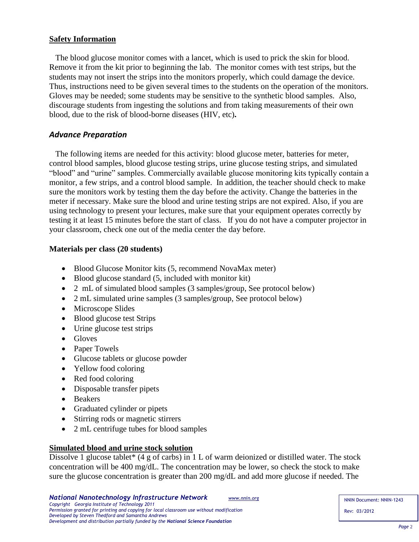#### **Safety Information**

The blood glucose monitor comes with a lancet, which is used to prick the skin for blood. Remove it from the kit prior to beginning the lab. The monitor comes with test strips, but the students may not insert the strips into the monitors properly, which could damage the device. Thus, instructions need to be given several times to the students on the operation of the monitors. Gloves may be needed; some students may be sensitive to the synthetic blood samples. Also, discourage students from ingesting the solutions and from taking measurements of their own blood, due to the risk of blood-borne diseases (HIV, etc)**.**

#### *Advance Preparation*

The following items are needed for this activity: blood glucose meter, batteries for meter, control blood samples, blood glucose testing strips, urine glucose testing strips, and simulated "blood" and "urine" samples. Commercially available glucose monitoring kits typically contain a monitor, a few strips, and a control blood sample. In addition, the teacher should check to make sure the monitors work by testing them the day before the activity. Change the batteries in the meter if necessary. Make sure the blood and urine testing strips are not expired. Also, if you are using technology to present your lectures, make sure that your equipment operates correctly by testing it at least 15 minutes before the start of class. If you do not have a computer projector in your classroom, check one out of the media center the day before.

#### **Materials per class (20 students)**

- Blood Glucose Monitor kits (5, recommend NovaMax meter)
- Blood glucose standard (5, included with monitor kit)
- 2 mL of simulated blood samples (3 samples/group, See protocol below)
- 2 mL simulated urine samples (3 samples/group, See protocol below)
- Microscope Slides
- Blood glucose test Strips
- Urine glucose test strips
- Gloves
- Paper Towels
- Glucose tablets or glucose powder
- Yellow food coloring
- Red food coloring
- Disposable transfer pipets
- Beakers
- Graduated cylinder or pipets
- Stirring rods or magnetic stirrers
- 2 mL centrifuge tubes for blood samples

#### **Simulated blood and urine stock solution**

Dissolve 1 glucose tablet\* (4 g of carbs) in 1 L of warm deionized or distilled water. The stock concentration will be 400 mg/dL. The concentration may be lower, so check the stock to make sure the glucose concentration is greater than 200 mg/dL and add more glucose if needed. The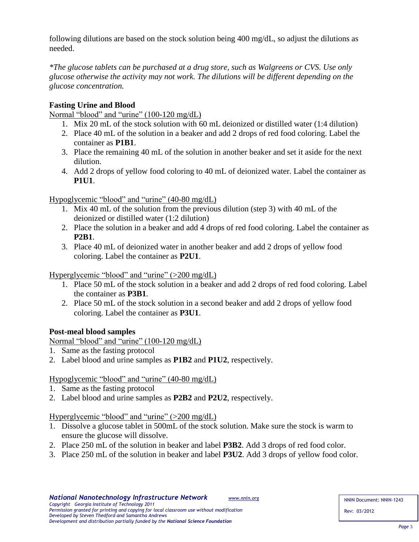following dilutions are based on the stock solution being 400 mg/dL, so adjust the dilutions as needed.

*\*The glucose tablets can be purchased at a drug store, such as Walgreens or CVS. Use only glucose otherwise the activity may not work. The dilutions will be different depending on the glucose concentration.*

# **Fasting Urine and Blood**

Normal "blood" and "urine" (100-120 mg/dL)

- 1. Mix 20 mL of the stock solution with 60 mL deionized or distilled water (1:4 dilution)
- 2. Place 40 mL of the solution in a beaker and add 2 drops of red food coloring. Label the container as **P1B1**.
- 3. Place the remaining 40 mL of the solution in another beaker and set it aside for the next dilution.
- 4. Add 2 drops of yellow food coloring to 40 mL of deionized water. Label the container as **P1U1**.

Hypoglycemic "blood" and "urine" (40-80 mg/dL)

- 1. Mix 40 mL of the solution from the previous dilution (step 3) with 40 mL of the deionized or distilled water (1:2 dilution)
- 2. Place the solution in a beaker and add 4 drops of red food coloring. Label the container as **P2B1**.
- 3. Place 40 mL of deionized water in another beaker and add 2 drops of yellow food coloring. Label the container as **P2U1**.

Hyperglycemic "blood" and "urine" (>200 mg/dL)

- 1. Place 50 mL of the stock solution in a beaker and add 2 drops of red food coloring. Label the container as **P3B1**.
- 2. Place 50 mL of the stock solution in a second beaker and add 2 drops of yellow food coloring. Label the container as **P3U1**.

# **Post-meal blood samples**

Normal "blood" and "urine" (100-120 mg/dL)

- 1. Same as the fasting protocol
- 2. Label blood and urine samples as **P1B2** and **P1U2**, respectively.

Hypoglycemic "blood" and "urine" (40-80 mg/dL)

1. Same as the fasting protocol

*Developed by Steven Thedford and Samantha Andrews* 

2. Label blood and urine samples as **P2B2** and **P2U2**, respectively.

Hyperglycemic "blood" and "urine" (>200 mg/dL)

- 1. Dissolve a glucose tablet in 500mL of the stock solution. Make sure the stock is warm to ensure the glucose will dissolve.
- 2. Place 250 mL of the solution in beaker and label **P3B2**. Add 3 drops of red food color.
- 3. Place 250 mL of the solution in beaker and label **P3U2**. Add 3 drops of yellow food color.

*Development and distribution partially funded by the National Science Foundation*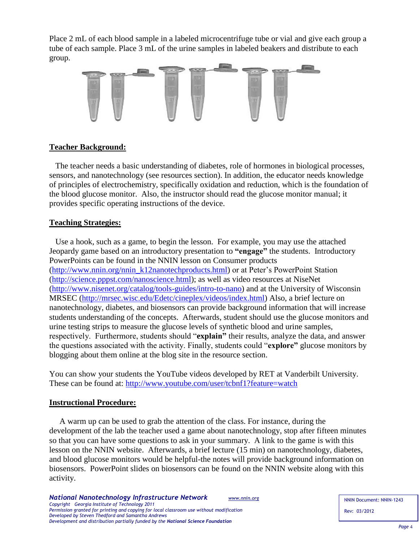Place 2 mL of each blood sample in a labeled microcentrifuge tube or vial and give each group a tube of each sample. Place 3 mL of the urine samples in labeled beakers and distribute to each group.



## **Teacher Background:**

 The teacher needs a basic understanding of diabetes, role of hormones in biological processes, sensors, and nanotechnology (see resources section). In addition, the educator needs knowledge of principles of electrochemistry, specifically oxidation and reduction, which is the foundation of the blood glucose monitor. Also, the instructor should read the glucose monitor manual; it provides specific operating instructions of the device.

#### **Teaching Strategies:**

Use a hook, such as a game, to begin the lesson. For example, you may use the attached Jeopardy game based on an introductory presentation to **"engage"** the students. Introductory PowerPoints can be found in the NNIN lesson on Consumer products [\(http://www.nnin.org/nnin\\_k12nanotechproducts.html\)](http://www.nnin.org/nnin_k12nanotechproducts.html) or at Peter's PowerPoint Station [\(http://science.pppst.com/nanoscience.html\)](http://science.pppst.com/nanoscience.html); as well as video resources at NiseNet [\(http://www.nisenet.org/catalog/tools-guides/intro-to-nano\)](http://www.nisenet.org/catalog/tools-guides/intro-to-nano) and at the University of Wisconsin MRSEC [\(http://mrsec.wisc.edu/Edetc/cineplex/videos/index.html\)](http://mrsec.wisc.edu/Edetc/cineplex/videos/index.html) Also, a brief lecture on nanotechnology, diabetes, and biosensors can provide background information that will increase students understanding of the concepts. Afterwards, student should use the glucose monitors and urine testing strips to measure the glucose levels of synthetic blood and urine samples, respectively. Furthermore, students should "**explain"** their results, analyze the data, and answer the questions associated with the activity. Finally, students could "**explore"** glucose monitors by blogging about them online at the blog site in the resource section.

You can show your students the YouTube videos developed by RET at Vanderbilt University. These can be found at:<http://www.youtube.com/user/tcbnf1?feature=watch>

#### **Instructional Procedure:**

A warm up can be used to grab the attention of the class. For instance, during the development of the lab the teacher used a game about nanotechnology, stop after fifteen minutes so that you can have some questions to ask in your summary. A link to the game is with this lesson on the NNIN website. Afterwards, a brief lecture (15 min) on nanotechnology, diabetes, and blood glucose monitors would be helpful-the notes will provide background information on biosensors. PowerPoint slides on biosensors can be found on the NNIN website along with this activity.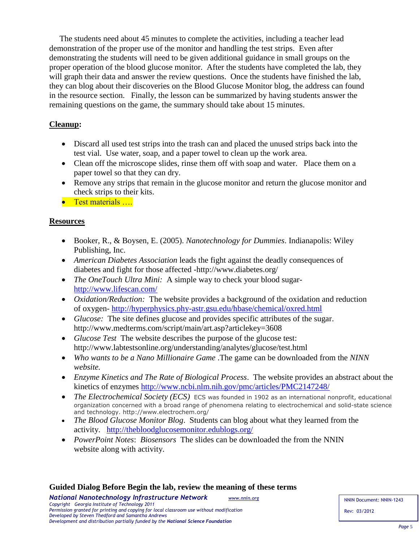The students need about 45 minutes to complete the activities, including a teacher lead demonstration of the proper use of the monitor and handling the test strips. Even after demonstrating the students will need to be given additional guidance in small groups on the proper operation of the blood glucose monitor. After the students have completed the lab, they will graph their data and answer the review questions. Once the students have finished the lab, they can blog about their discoveries on the Blood Glucose Monitor blog, the address can found in the resource section. Finally, the lesson can be summarized by having students answer the remaining questions on the game, the summary should take about 15 minutes.

# **Cleanup:**

- Discard all used test strips into the trash can and placed the unused strips back into the test vial. Use water, soap, and a paper towel to clean up the work area.
- Clean off the microscope slides, rinse them off with soap and water. Place them on a paper towel so that they can dry.
- Remove any strips that remain in the glucose monitor and return the glucose monitor and check strips to their kits.
- **•** Test materials ...

# **Resources**

- Booker, R., & Boysen, E. (2005). *Nanotechnology for Dummies*. Indianapolis: Wiley Publishing, Inc.
- *American Diabetes Association* leads the fight against the deadly consequences of diabetes and fight for those affected -http://www.diabetes.org/
- *The OneTouch Ultra Mini*: A simple way to check your blood sugar<http://www.lifescan.com/>
- *Oxidation/Reduction:* The website provides a background of the oxidation and reduction of oxygen- <http://hyperphysics.phy-astr.gsu.edu/hbase/chemical/oxred.html>
- *Glucose:* The site defines glucose and provides specific attributes of the sugar. http://www.medterms.com/script/main/art.asp?articlekey=3608
- *Glucose Test* The website describes the purpose of the glucose test: http://www.labtestsonline.org/understanding/analytes/glucose/test.html
- *Who wants to be a Nano Millionaire Game* .The game can be downloaded from the *NINN website.*
- *Enzyme Kinetics and The Rate of Biological Process*. The website provides an abstract about the kinetics of enzymes<http://www.ncbi.nlm.nih.gov/pmc/articles/PMC2147248/>
- *The Electrochemical Society (ECS)* ECS was founded in 1902 as an international nonprofit, educational organization concerned with a broad range of phenomena relating to electrochemical and solid-state science and technology. http://www.electrochem.org/
- *The Blood Glucose Monitor Blog*. Students can blog about what they learned from the activity. <http://thebloodglucosemonitor.edublogs.org/>
- *PowerPoint Notes*: *Biosensors* The slides can be downloaded the from the NNIN website along with activity.

#### **Guided Dialog Before Begin the lab, review the meaning of these terms**

*National Nanotechnology Infrastructure Network www.nnin.org*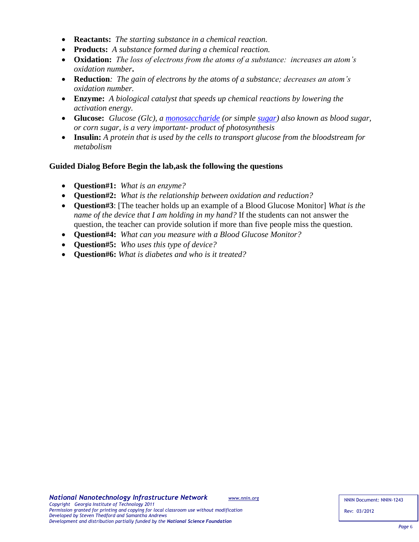- **Reactants:** *The starting substance in a chemical reaction.*
- **Products:** *A substance formed during a chemical reaction.*
- **Oxidation:** *The loss of electrons from the atoms of a substance: increases an atom's oxidation number***.**
- **Reduction***: The gain of electrons by the atoms of a substance; decreases an atom's oxidation number.*
- **Enzyme:** *A biological catalyst that speeds up chemical reactions by lowering the activation energy.*
- **Glucose:** *Glucose (Glc), a [monosaccharide](http://en.wikipedia.org/wiki/Monosaccharide) (or simple [sugar\)](http://en.wikipedia.org/wiki/Sugar) also known as blood sugar, or corn sugar, is a very important- product of photosynthesis*
- **Insulin:** *A protein that is used by the cells to transport glucose from the bloodstream for metabolism*

#### **Guided Dialog Before Begin the lab,ask the following the questions**

- **Question#1:** *What is an enzyme?*
- **Question#2:** *What is the relationship between oxidation and reduction?*
- **Question#3**: [The teacher holds up an example of a Blood Glucose Monitor] *What is the name of the device that I am holding in my hand?* If the students can not answer the question, the teacher can provide solution if more than five people miss the question.
- **Question#4:** *What can you measure with a Blood Glucose Monitor?*
- **Question#5:** *Who uses this type of device?*
- **Question#6:** *What is diabetes and who is it treated?*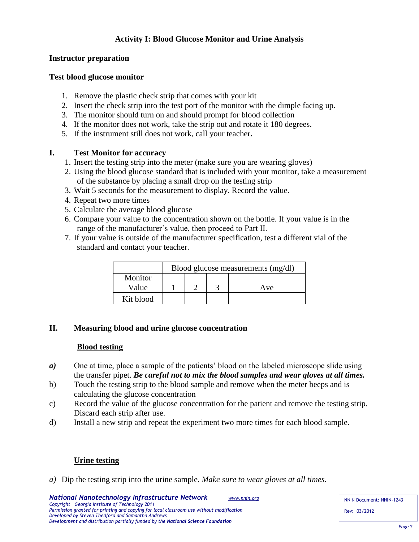# **Activity I: Blood Glucose Monitor and Urine Analysis**

## **Instructor preparation**

#### **Test blood glucose monitor**

- 1. Remove the plastic check strip that comes with your kit
- 2. Insert the check strip into the test port of the monitor with the dimple facing up.
- 3. The monitor should turn on and should prompt for blood collection
- 4. If the monitor does not work, take the strip out and rotate it 180 degrees.
- 5. If the instrument still does not work, call your teacher**.**

## **I. Test Monitor for accuracy**

- 1. Insert the testing strip into the meter (make sure you are wearing gloves)
- 2. Using the blood glucose standard that is included with your monitor, take a measurement of the substance by placing a small drop on the testing strip
- 3. Wait 5 seconds for the measurement to display. Record the value.
- 4. Repeat two more times
- 5. Calculate the average blood glucose
- 6. Compare your value to the concentration shown on the bottle. If your value is in the range of the manufacturer's value, then proceed to Part II.
- 7. If your value is outside of the manufacturer specification, test a different vial of the standard and contact your teacher.

|           | Blood glucose measurements (mg/dl) |  |  |     |  |  |
|-----------|------------------------------------|--|--|-----|--|--|
| Monitor   |                                    |  |  |     |  |  |
| Value     |                                    |  |  | Ave |  |  |
| Kit blood |                                    |  |  |     |  |  |

# **II. Measuring blood and urine glucose concentration**

# **Blood testing**

- *a)* One at time, place a sample of the patients' blood on the labeled microscope slide using the transfer pipet. *Be careful not to mix the blood samples and wear gloves at all times.*
- b) Touch the testing strip to the blood sample and remove when the meter beeps and is calculating the glucose concentration
- c) Record the value of the glucose concentration for the patient and remove the testing strip. Discard each strip after use.
- d) Install a new strip and repeat the experiment two more times for each blood sample.

# **Urine testing**

*a)* Dip the testing strip into the urine sample. *Make sure to wear gloves at all times.*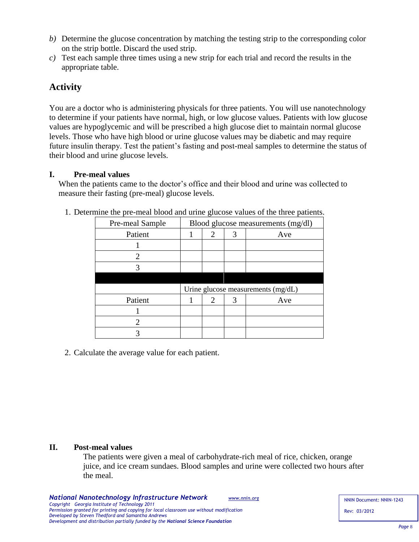- *b)* Determine the glucose concentration by matching the testing strip to the corresponding color on the strip bottle. Discard the used strip.
- *c)* Test each sample three times using a new strip for each trial and record the results in the appropriate table.

# **Activity**

You are a doctor who is administering physicals for three patients. You will use nanotechnology to determine if your patients have normal, high, or low glucose values. Patients with low glucose values are hypoglycemic and will be prescribed a high glucose diet to maintain normal glucose levels. Those who have high blood or urine glucose values may be diabetic and may require future insulin therapy. Test the patient's fasting and post-meal samples to determine the status of their blood and urine glucose levels.

# **I. Pre-meal values**

When the patients came to the doctor's office and their blood and urine was collected to measure their fasting (pre-meal) glucose levels.

| Pre-meal Sample       |                                    |   |   | Blood glucose measurements (mg/dl) |
|-----------------------|------------------------------------|---|---|------------------------------------|
| Patient               |                                    | 2 | 3 | Ave                                |
|                       |                                    |   |   |                                    |
| 2                     |                                    |   |   |                                    |
| 3                     |                                    |   |   |                                    |
|                       |                                    |   |   |                                    |
|                       | Urine glucose measurements (mg/dL) |   |   |                                    |
|                       |                                    |   |   |                                    |
| Patient               |                                    | 2 | 3 | Ave                                |
|                       |                                    |   |   |                                    |
| $\mathcal{D}_{\cdot}$ |                                    |   |   |                                    |

1. Determine the pre-meal blood and urine glucose values of the three patients.

2. Calculate the average value for each patient.

# **II. Post-meal values**

The patients were given a meal of carbohydrate-rich meal of rice, chicken, orange juice, and ice cream sundaes. Blood samples and urine were collected two hours after the meal.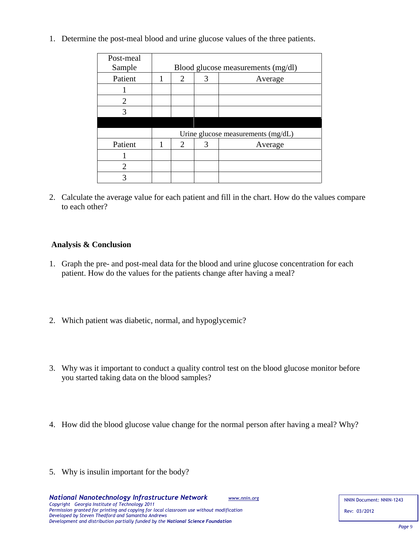1. Determine the post-meal blood and urine glucose values of the three patients.

| Post-meal             |                                    |                |   |         |  |  |
|-----------------------|------------------------------------|----------------|---|---------|--|--|
| Sample                | Blood glucose measurements (mg/dl) |                |   |         |  |  |
| Patient               |                                    | $\overline{2}$ | 3 | Average |  |  |
|                       |                                    |                |   |         |  |  |
| 2                     |                                    |                |   |         |  |  |
| 3                     |                                    |                |   |         |  |  |
|                       |                                    |                |   |         |  |  |
|                       | Urine glucose measurements (mg/dL) |                |   |         |  |  |
| Patient               |                                    | 2              | 3 | Average |  |  |
|                       |                                    |                |   |         |  |  |
| $\mathcal{D}_{\cdot}$ |                                    |                |   |         |  |  |
|                       |                                    |                |   |         |  |  |

2. Calculate the average value for each patient and fill in the chart. How do the values compare to each other?

## **Analysis & Conclusion**

- 1. Graph the pre- and post-meal data for the blood and urine glucose concentration for each patient. How do the values for the patients change after having a meal?
- 2. Which patient was diabetic, normal, and hypoglycemic?
- 3. Why was it important to conduct a quality control test on the blood glucose monitor before you started taking data on the blood samples?
- 4. How did the blood glucose value change for the normal person after having a meal? Why?
- 5. Why is insulin important for the body?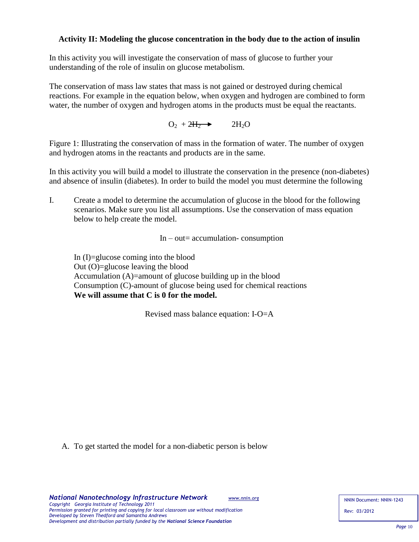## **Activity II: Modeling the glucose concentration in the body due to the action of insulin**

In this activity you will investigate the conservation of mass of glucose to further your understanding of the role of insulin on glucose metabolism.

The conservation of mass law states that mass is not gained or destroyed during chemical reactions. For example in the equation below, when oxygen and hydrogen are combined to form water, the number of oxygen and hydrogen atoms in the products must be equal the reactants.

> $O_2 + 2H_2 \rightarrow$  $2H<sub>2</sub>O$

Figure 1: Illustrating the conservation of mass in the formation of water. The number of oxygen and hydrogen atoms in the reactants and products are in the same.

In this activity you will build a model to illustrate the conservation in the presence (non-diabetes) and absence of insulin (diabetes). In order to build the model you must determine the following

I. Create a model to determine the accumulation of glucose in the blood for the following scenarios. Make sure you list all assumptions. Use the conservation of mass equation below to help create the model.

 $In - out = accumulation - consumption$ 

In (I)=glucose coming into the blood Out (O)=glucose leaving the blood Accumulation (A)=amount of glucose building up in the blood Consumption (C)-amount of glucose being used for chemical reactions  **We will assume that C is 0 for the model.**

Revised mass balance equation: I-O=A

A. To get started the model for a non-diabetic person is below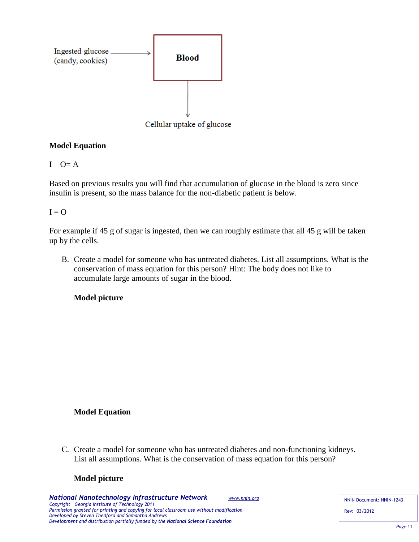

# **Model Equation**

## $I - O = A$

Based on previous results you will find that accumulation of glucose in the blood is zero since insulin is present, so the mass balance for the non-diabetic patient is below.

## $I = Q$

For example if 45 g of sugar is ingested, then we can roughly estimate that all 45 g will be taken up by the cells.

B. Create a model for someone who has untreated diabetes. List all assumptions. What is the conservation of mass equation for this person? Hint: The body does not like to accumulate large amounts of sugar in the blood.

**Model picture**

# **Model Equation**

C. Create a model for someone who has untreated diabetes and non-functioning kidneys. List all assumptions. What is the conservation of mass equation for this person?

# **Model picture**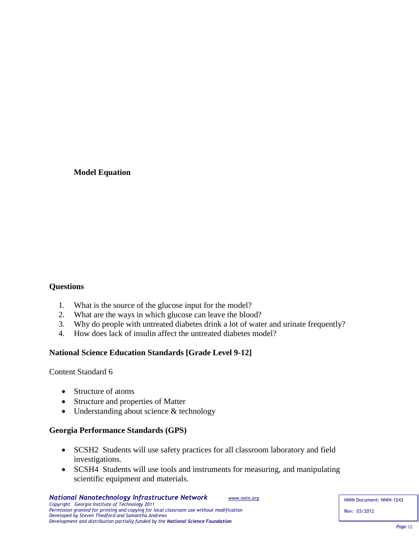## **Model Equation**

# **Questions**

- 1. What is the source of the glucose input for the model?
- 2. What are the ways in which glucose can leave the blood?
- 3. Why do people with untreated diabetes drink a lot of water and urinate frequently?
- 4. How does lack of insulin affect the untreated diabetes model?

# **National Science Education Standards [Grade Level 9-12]**

Content Standard 6

- Structure of atoms
- Structure and properties of Matter
- Understanding about science & technology

#### **Georgia Performance Standards (GPS)**

- SCSH2 Students will use safety practices for all classroom laboratory and field investigations.
- SCSH4 Students will use tools and instruments for measuring, and manipulating scientific equipment and materials.